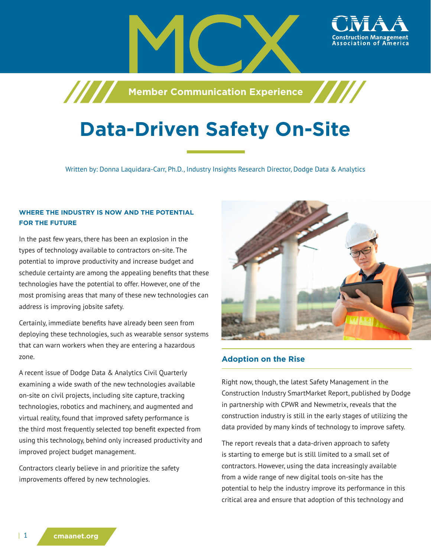**Member Communication Experience**

# **Data-Driven Safety On-Site**

Written by: Donna Laquidara-Carr, Ph.D., Industry Insights Research Director, Dodge Data & Analytics

## **WHERE THE INDUSTRY IS NOW AND THE POTENTIAL FOR THE FUTURE**

/////

In the past few years, there has been an explosion in the types of technology available to contractors on-site. The potential to improve productivity and increase budget and schedule certainty are among the appealing benefits that these technologies have the potential to offer. However, one of the most promising areas that many of these new technologies can address is improving jobsite safety.

Certainly, immediate benefits have already been seen from deploying these technologies, such as wearable sensor systems that can warn workers when they are entering a hazardous zone.

A recent issue of Dodge Data & Analytics Civil Quarterly examining a wide swath of the new technologies available on-site on civil projects, including site capture, tracking technologies, robotics and machinery, and augmented and virtual reality, found that improved safety performance is the third most frequently selected top benefit expected from using this technology, behind only increased productivity and improved project budget management.

Contractors clearly believe in and prioritize the safety improvements offered by new technologies.



#### **Adoption on the Rise**

Right now, though, the latest Safety Management in the Construction Industry SmartMarket Report, published by Dodge in partnership with CPWR and Newmetrix, reveals that the construction industry is still in the early stages of utilizing the data provided by many kinds of technology to improve safety.

The report reveals that a data-driven approach to safety is starting to emerge but is still limited to a small set of contractors. However, using the data increasingly available from a wide range of new digital tools on-site has the potential to help the industry improve its performance in this critical area and ensure that adoption of this technology and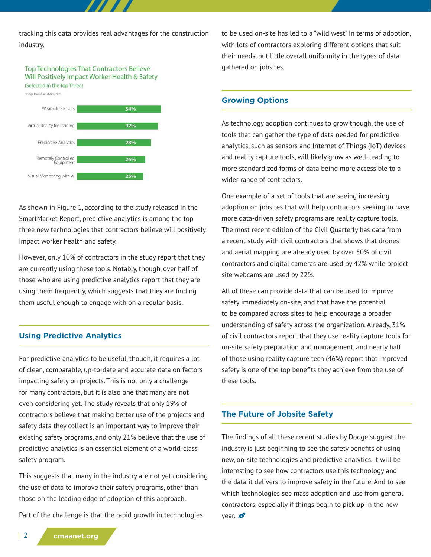tracking this data provides real advantages for the construction industry.

**Top Technologies That Contractors Believe** Will Positively Impact Worker Health & Safety (Selected In the Top Three)



As shown in Figure 1, according to the study released in the SmartMarket Report, predictive analytics is among the top three new technologies that contractors believe will positively impact worker health and safety.

However, only 10% of contractors in the study report that they are currently using these tools. Notably, though, over half of those who are using predictive analytics report that they are using them frequently, which suggests that they are finding them useful enough to engage with on a regular basis.

#### **Using Predictive Analytics**

For predictive analytics to be useful, though, it requires a lot of clean, comparable, up-to-date and accurate data on factors impacting safety on projects. This is not only a challenge for many contractors, but it is also one that many are not even considering yet. The study reveals that only 19% of contractors believe that making better use of the projects and safety data they collect is an important way to improve their existing safety programs, and only 21% believe that the use of predictive analytics is an essential element of a world-class safety program.

This suggests that many in the industry are not yet considering the use of data to improve their safety programs, other than those on the leading edge of adoption of this approach.

Part of the challenge is that the rapid growth in technologies

to be used on-site has led to a "wild west" in terms of adoption, with lots of contractors exploring different options that suit their needs, but little overall uniformity in the types of data gathered on jobsites.

### **Growing Options**

As technology adoption continues to grow though, the use of tools that can gather the type of data needed for predictive analytics, such as sensors and Internet of Things (IoT) devices and reality capture tools, will likely grow as well, leading to more standardized forms of data being more accessible to a wider range of contractors.

One example of a set of tools that are seeing increasing adoption on jobsites that will help contractors seeking to have more data-driven safety programs are reality capture tools. The most recent edition of the Civil Quarterly has data from a recent study with civil contractors that shows that drones and aerial mapping are already used by over 50% of civil contractors and digital cameras are used by 42% while project site webcams are used by 22%.

All of these can provide data that can be used to improve safety immediately on-site, and that have the potential to be compared across sites to help encourage a broader understanding of safety across the organization. Already, 31% of civil contractors report that they use reality capture tools for on-site safety preparation and management, and nearly half of those using reality capture tech (46%) report that improved safety is one of the top benefits they achieve from the use of these tools.

#### **The Future of Jobsite Safety**

The findings of all these recent studies by Dodge suggest the industry is just beginning to see the safety benefits of using new, on-site technologies and predictive analytics. It will be interesting to see how contractors use this technology and the data it delivers to improve safety in the future. And to see which technologies see mass adoption and use from general contractors, especially if things begin to pick up in the new  $vear.$